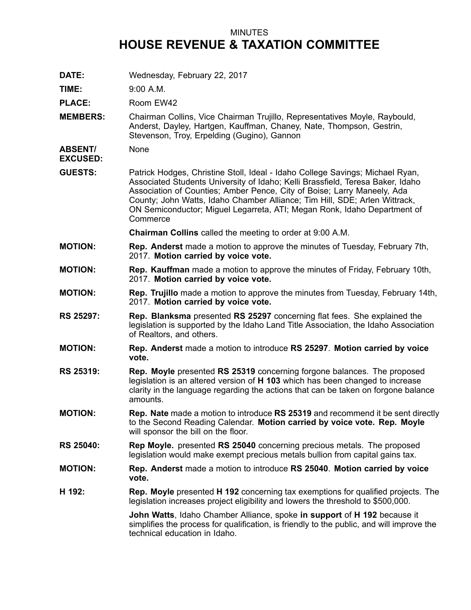## MINUTES **HOUSE REVENUE & TAXATION COMMITTEE**

**DATE:** Wednesday, February 22, 2017

**TIME:** 9:00 A.M.

PLACE: Room EW42

**MEMBERS:** Chairman Collins, Vice Chairman Trujillo, Representatives Moyle, Raybould, Anderst, Dayley, Hartgen, Kauffman, Chaney, Nate, Thompson, Gestrin, Stevenson, Troy, Erpelding (Gugino), Gannon

**ABSENT/** None

**EXCUSED:**

**GUESTS:** Patrick Hodges, Christine Stoll, Ideal - Idaho College Savings; Michael Ryan, Associated Students University of Idaho; Kelli Brassfield, Teresa Baker, Idaho Association of Counties; Amber Pence, City of Boise; Larry Maneely, Ada County; John Watts, Idaho Chamber Alliance; Tim Hill, SDE; Arlen Wittrack, ON Semiconductor; Miguel Legarreta, ATI; Megan Ronk, Idaho Department of **Commerce** 

**Chairman Collins** called the meeting to order at 9:00 A.M.

- **MOTION: Rep. Anderst** made <sup>a</sup> motion to approve the minutes of Tuesday, February 7th, 2017. **Motion carried by voice vote.**
- **MOTION: Rep. Kauffman** made <sup>a</sup> motion to approve the minutes of Friday, February 10th, 2017. **Motion carried by voice vote.**
- **MOTION: Rep. Trujillo** made <sup>a</sup> motion to approve the minutes from Tuesday, February 14th, 2017. **Motion carried by voice vote.**
- **RS 25297: Rep. Blanksma** presented **RS 25297** concerning flat fees. She explained the legislation is supported by the Idaho Land Title Association, the Idaho Association of Realtors, and others.
- **MOTION: Rep. Anderst** made <sup>a</sup> motion to introduce **RS 25297**. **Motion carried by voice vote.**
- **RS 25319: Rep. Moyle** presented **RS 25319** concerning forgone balances. The proposed legislation is an altered version of **H 103** which has been changed to increase clarity in the language regarding the actions that can be taken on forgone balance amounts.
- **MOTION: Rep. Nate** made <sup>a</sup> motion to introduce **RS 25319** and recommend it be sent directly to the Second Reading Calendar. **Motion carried by voice vote. Rep. Moyle** will sponsor the bill on the floor.
- **RS 25040: Rep Moyle.** presented **RS 25040** concerning precious metals. The proposed legislation would make exempt precious metals bullion from capital gains tax.
- **MOTION: Rep. Anderst** made <sup>a</sup> motion to introduce **RS 25040**. **Motion carried by voice vote.**
- **H 192: Rep. Moyle** presented **H 192** concerning tax exemptions for qualified projects. The legislation increases project eligibility and lowers the threshold to \$500,000.

**John Watts**, Idaho Chamber Alliance, spoke **in support** of **H 192** because it simplifies the process for qualification, is friendly to the public, and will improve the technical education in Idaho.